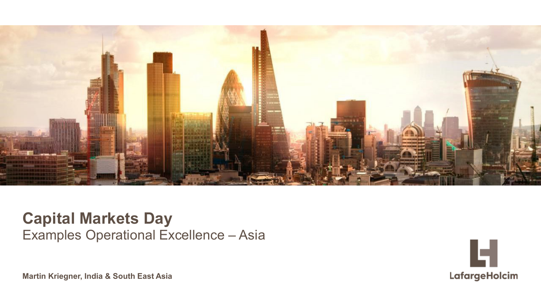

#### **Capital Markets Day** Examples Operational Excellence – Asia



© LafargeHolcim Ltd 2015 **Martin Kriegner, India & South East Asia**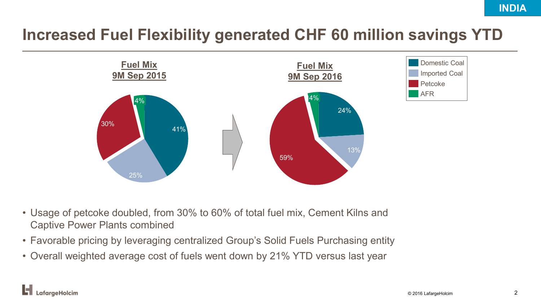### **Increased Fuel Flexibility generated CHF 60 million savings YTD**



- Usage of petcoke doubled, from 30% to 60% of total fuel mix, Cement Kilns and Captive Power Plants combined
- Favorable pricing by leveraging centralized Group's Solid Fuels Purchasing entity
- Overall weighted average cost of fuels went down by 21% YTD versus last year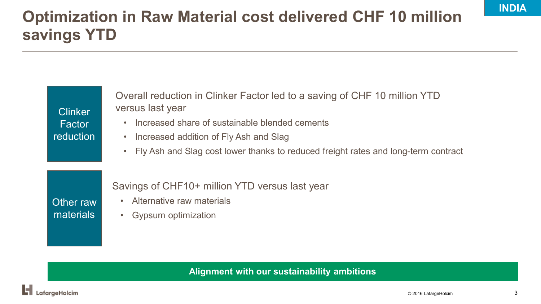# **Optimization in Raw Material cost delivered CHF 10 million savings YTD**

| <b>Clinker</b><br>Factor<br><b>reduction</b> | Overall reduction in Clinker Factor led to a saving of CHF 10 million YTD<br>versus last year<br>Increased share of sustainable blended cements<br>$\bullet$<br>Increased addition of Fly Ash and Slag<br>$\bullet$<br>Fly Ash and Slag cost lower thanks to reduced freight rates and long-term contract<br>$\bullet$ |
|----------------------------------------------|------------------------------------------------------------------------------------------------------------------------------------------------------------------------------------------------------------------------------------------------------------------------------------------------------------------------|
| Other raw<br>materials                       | Savings of CHF10+ million YTD versus last year<br>Alternative raw materials<br>Gypsum optimization                                                                                                                                                                                                                     |

**Alignment with our sustainability ambitions**